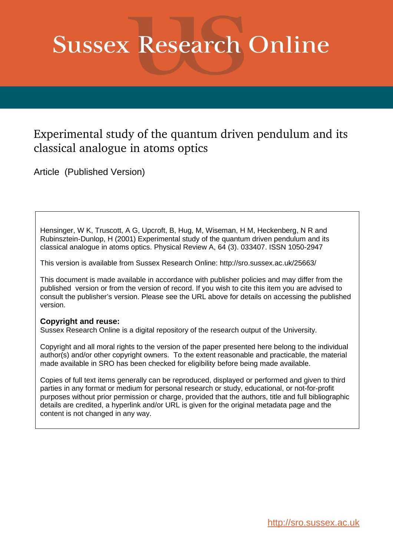# **Sussex Research Online**

## Experimental study of the quantum driven pendulum and its classical analogue in atoms optics

Article (Published Version)

Hensinger, W K, Truscott, A G, Upcroft, B, Hug, M, Wiseman, H M, Heckenberg, N R and Rubinsztein-Dunlop, H (2001) Experimental study of the quantum driven pendulum and its classical analogue in atoms optics. Physical Review A, 64 (3). 033407. ISSN 1050-2947

This version is available from Sussex Research Online: http://sro.sussex.ac.uk/25663/

This document is made available in accordance with publisher policies and may differ from the published version or from the version of record. If you wish to cite this item you are advised to consult the publisher's version. Please see the URL above for details on accessing the published version.

### **Copyright and reuse:**

Sussex Research Online is a digital repository of the research output of the University.

Copyright and all moral rights to the version of the paper presented here belong to the individual author(s) and/or other copyright owners. To the extent reasonable and practicable, the material made available in SRO has been checked for eligibility before being made available.

Copies of full text items generally can be reproduced, displayed or performed and given to third parties in any format or medium for personal research or study, educational, or not-for-profit purposes without prior permission or charge, provided that the authors, title and full bibliographic details are credited, a hyperlink and/or URL is given for the original metadata page and the content is not changed in any way.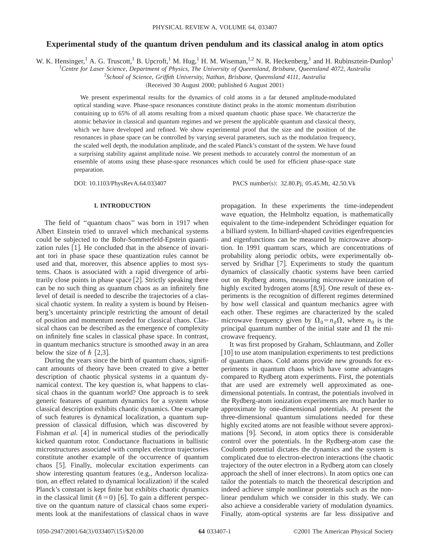#### **Experimental study of the quantum driven pendulum and its classical analog in atom optics**

W. K. Hensinger,<sup>1</sup> A. G. Truscott,<sup>1</sup> B. Upcroft,<sup>1</sup> M. Hug,<sup>1</sup> H. M. Wiseman,<sup>1,2</sup> N. R. Heckenberg,<sup>1</sup> and H. Rubinsztein-Dunlop<sup>1</sup>

<sup>1</sup>*Centre for Laser Science, Department of Physics, The University of Queensland, Brisbane, Queensland 4072, Australia*

2 *School of Science, Griffith University, Nathan, Brisbane, Queensland 4111, Australia*

(Received 30 August 2000; published 6 August 2001)

We present experimental results for the dynamics of cold atoms in a far detuned amplitude-modulated optical standing wave. Phase-space resonances constitute distinct peaks in the atomic momentum distribution containing up to 65% of all atoms resulting from a mixed quantum chaotic phase space. We characterize the atomic behavior in classical and quantum regimes and we present the applicable quantum and classical theory, which we have developed and refined. We show experimental proof that the size and the position of the resonances in phase space can be controlled by varying several parameters, such as the modulation frequency, the scaled well depth, the modulation amplitude, and the scaled Planck's constant of the system. We have found a surprising stability against amplitude noise. We present methods to accurately control the momentum of an ensemble of atoms using these phase-space resonances which could be used for efficient phase-space state preparation.

DOI: 10.1103/PhysRevA.64.033407 PACS number(s): 32.80.Pj, 05.45.Mt, 42.50.Vk

#### **I. INTRODUCTION**

The field of ''quantum chaos'' was born in 1917 when Albert Einstein tried to unravel which mechanical systems could be subjected to the Bohr-Sommerfeld-Epstein quantization rules  $[1]$ . He concluded that in the absence of invariant tori in phase space these quantization rules cannot be used and that, moreover, this absence applies to most systems. Chaos is associated with a rapid divergence of arbitrarily close points in phase space  $[2]$ . Strictly speaking there can be no such thing as quantum chaos as an infinitely fine level of detail is needed to describe the trajectories of a classical chaotic system. In reality a system is bound by Heisenberg's uncertainty principle restricting the amount of detail of position and momentum needed for classical chaos. Classical chaos can be described as the emergence of complexity on infinitely fine scales in classical phase space. In contrast, in quantum mechanics structure is smoothed away in an area below the size of  $\hbar$  [2,3].

During the years since the birth of quantum chaos, significant amounts of theory have been created to give a better description of chaotic physical systems in a quantum dynamical context. The key question is, what happens to classical chaos in the quantum world? One approach is to seek generic features of quantum dynamics for a system whose classical description exhibits chaotic dynamics. One example of such features is dynamical localization, a quantum suppression of classical diffusion, which was discovered by Fishman *et al.* [4] in numerical studies of the periodically kicked quantum rotor. Conductance fluctuations in ballistic microstructures associated with complex electron trajectories constitute another example of the occurrence of quantum chaos [5]. Finally, molecular excitation experiments can show interesting quantum features (e.g., Anderson localization, an effect related to dynamical localization) if the scaled Planck's constant is kept finite but exhibits chaotic dynamics in the classical limit ( $\hbar$  = 0) [6]. To gain a different perspective on the quantum nature of classical chaos some experiments look at the manifestations of classical chaos in wave

propagation. In these experiments the time-independent wave equation, the Helmholtz equation, is mathematically equivalent to the time-independent Schrödinger equation for a billiard system. In billiard-shaped cavities eigenfrequencies and eigenfunctions can be measured by microwave absorption. In 1991 quantum scars, which are concentrations of probability along periodic orbits, were experimentally observed by Sridhar  $[7]$ . Experiments to study the quantum dynamics of classically chaotic systems have been carried out on Rydberg atoms, measuring microwave ionization of highly excited hydrogen atoms  $[8,9]$ . One result of these experiments is the recognition of different regimes determined by how well classical and quantum mechanics agree with each other. These regimes are characterized by the scaled microwave frequency given by  $\Omega_0 = n_0 \Omega$ , where  $n_0$  is the principal quantum number of the initial state and  $\Omega$  the microwave frequency.

It was first proposed by Graham, Schlautmann, and Zoller [10] to use atom manipulation experiments to test predictions of quantum chaos. Cold atoms provide new grounds for experiments in quantum chaos which have some advantages compared to Rydberg atom experiments. First, the potentials that are used are extremely well approximated as onedimensional potentials. In contrast, the potentials involved in the Rydberg-atom ionization experiments are much harder to approximate by one-dimensional potentials. At present the three-dimensional quantum simulations needed for these highly excited atoms are not feasible without severe approximations [9]. Second, in atom optics there is considerable control over the potentials. In the Rydberg-atom case the Coulomb potential dictates the dynamics and the system is complicated due to electron-electron interactions (the chaotic trajectory of the outer electron in a Rydberg atom can closely approach the shell of inner electrons). In atom optics one can tailor the potentials to match the theoretical description and indeed achieve simple nonlinear potentials such as the nonlinear pendulum which we consider in this study. We can also achieve a considerable variety of modulation dynamics. Finally, atom-optical systems are far less dissipative and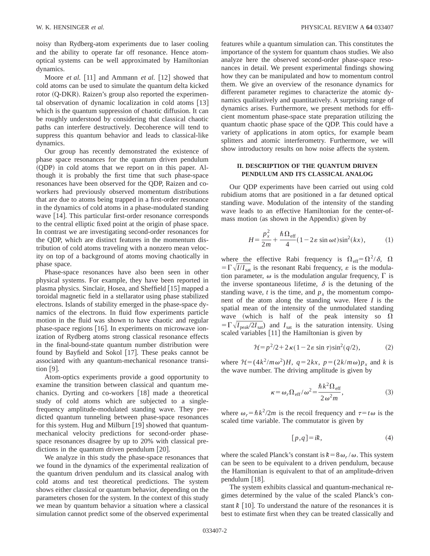noisy than Rydberg-atom experiments due to laser cooling and the ability to operate far off resonance. Hence atomoptical systems can be well approximated by Hamiltonian dynamics.

Moore *et al.* [11] and Ammann *et al.* [12] showed that cold atoms can be used to simulate the quantum delta kicked rotor (Q-DKR). Raizen's group also reported the experimental observation of dynamic localization in cold atoms  $[13]$ which is the quantum suppression of chaotic diffusion. It can be roughly understood by considering that classical chaotic paths can interfere destructively. Decoherence will tend to suppress this quantum behavior and leads to classical-like dynamics.

Our group has recently demonstrated the existence of phase space resonances for the quantum driven pendulum  $(QDP)$  in cold atoms that we report on in this paper. Although it is probably the first time that such phase-space resonances have been observed for the QDP, Raizen and coworkers had previously observed momentum distributions that are due to atoms being trapped in a first-order resonance in the dynamics of cold atoms in a phase-modulated standing wave  $[14]$ . This particular first-order resonance corresponds to the central elliptic fixed point at the origin of phase space. In contrast we are investigating second-order resonances for the QDP, which are distinct features in the momentum distribution of cold atoms traveling with a nonzero mean velocity on top of a background of atoms moving chaotically in phase space.

Phase-space resonances have also been seen in other physical systems. For example, they have been reported in plasma physics. Sinclair, Hosea, and Sheffield  $[15]$  mapped a toroidal magnetic field in a stellarator using phase stabilized electrons. Islands of stability emerged in the phase-space dynamics of the electrons. In fluid flow experiments particle motion in the fluid was shown to have chaotic and regular phase-space regions  $[16]$ . In experiments on microwave ionization of Rydberg atoms strong classical resonance effects in the final-bound-state quantum number distribution were found by Bayfield and Sokol  $[17]$ . These peaks cannot be associated with any quantum-mechanical resonance transition  $[9]$ .

Atom-optics experiments provide a good opportunity to examine the transition between classical and quantum mechanics. Dyrting and co-workers  $[18]$  made a theoretical study of cold atoms which are subjected to a singlefrequency amplitude-modulated standing wave. They predicted quantum tunneling between phase-space resonances for this system. Hug and Milburn  $[19]$  showed that quantummechanical velocity predictions for second-order phasespace resonances disagree by up to 20% with classical predictions in the quantum driven pendulum  $[20]$ .

We analyze in this study the phase-space resonances that we found in the dynamics of the experimental realization of the quantum driven pendulum and its classical analog with cold atoms and test theoretical predictions. The system shows either classical or quantum behavior, depending on the parameters chosen for the system. In the context of this study we mean by quantum behavior a situation where a classical simulation cannot predict some of the observed experimental features while a quantum simulation can. This constitutes the importance of the system for quantum chaos studies. We also analyze here the observed second-order phase-space resonances in detail. We present experimental findings showing how they can be manipulated and how to momentum control them. We give an overview of the resonance dynamics for different parameter regimes to characterize the atomic dynamics qualitatively and quantitatively. A surprising range of dynamics arises. Furthermore, we present methods for efficient momentum phase-space state preparation utilizing the quantum chaotic phase space of the QDP. This could have a variety of applications in atom optics, for example beam splitters and atomic interferometry. Furthermore, we will show introductory results on how noise affects the system.

#### **II. DESCRIPTION OF THE QUANTUM DRIVEN PENDULUM AND ITS CLASSICAL ANALOG**

Our QDP experiments have been carried out using cold rubidium atoms that are positioned in a far detuned optical standing wave. Modulation of the intensity of the standing wave leads to an effective Hamiltonian for the center-ofmass motion (as shown in the Appendix) given by

$$
H = \frac{p_x^2}{2m} + \frac{\hbar \Omega_{\text{eff}}}{4} (1 - 2\varepsilon \sin \omega t) \sin^2(kx),
$$
 (1)

where the effective Rabi frequency is  $\Omega_{\text{eff}} = \Omega^2 / \delta$ ,  $\Omega$  $=\Gamma \sqrt{I/I_{\text{sat}}}$  is the resonant Rabi frequency,  $\varepsilon$  is the modulation parameter,  $\omega$  is the modulation angular frequency,  $\Gamma$  is the inverse spontaneous lifetime,  $\delta$  is the detuning of the standing wave,  $t$  is the time, and  $p_x$  the momentum component of the atom along the standing wave. Here *I* is the spatial mean of the intensity of the unmodulated standing wave (which is half of the peak intensity so  $\Omega$  $=\Gamma \sqrt{I_{\text{peak}}/2I_{\text{sat}}}$  and  $I_{\text{sat}}$  is the saturation intensity. Using scaled variables  $[11]$  the Hamiltonian is given by

$$
\mathcal{H} = p^2/2 + 2\,\kappa (1 - 2\,\varepsilon \sin \tau) \sin^2(q/2),\tag{2}
$$

where  $\mathcal{H} = (4k^2/m\omega^2)H$ ,  $q = 2kx$ ,  $p = (2k/m\omega)p_x$  and *k* is the wave number. The driving amplitude is given by

$$
\kappa = \omega_r \Omega_{\text{eff}} / \omega^2 = \frac{\hbar k^2 \Omega_{\text{eff}}}{2 \omega^2 m},\tag{3}
$$

where  $\omega_r = \hbar k^2 / 2m$  is the recoil frequency and  $\tau = t\omega$  is the scaled time variable. The commutator is given by

$$
[p,q] = ik,\tag{4}
$$

where the scaled Planck's constant is  $k = 8 \omega_r / \omega$ . This system can be seen to be equivalent to a driven pendulum, because the Hamiltonian is equivalent to that of an amplitude-driven pendulum  $[18]$ .

The system exhibits classical and quantum-mechanical regimes determined by the value of the scaled Planck's constant  $k \sim 10$ . To understand the nature of the resonances it is best to estimate first when they can be treated classically and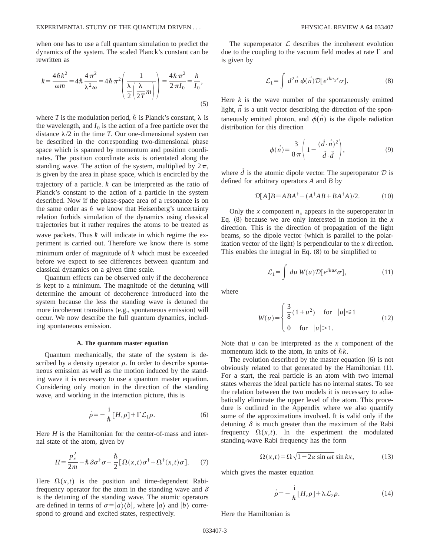when one has to use a full quantum simulation to predict the dynamics of the system. The scaled Planck's constant can be rewritten as

$$
k = \frac{4\hbar k^2}{\omega m} = 4\hbar \frac{4\pi^2}{\lambda^2 \omega} = 4\hbar \pi^2 \left(\frac{1}{\frac{\lambda}{2\pi m}}\right) = \frac{4\hbar \pi^2}{2\pi I_0} = \frac{h}{I_0},\tag{5}
$$

where *T* is the modulation period,  $\hbar$  is Planck's constant,  $\lambda$  is the wavelength, and  $I_0$  is the action of a free particle over the distance  $\lambda/2$  in the time *T*. Our one-dimensional system can be described in the corresponding two-dimensional phase space which is spanned by momentum and position coordinates. The position coordinate axis is orientated along the standing wave. The action of the system, multiplied by  $2\pi$ , is given by the area in phase space, which is encircled by the

trajectory of a particle.  $k$  can be interpreted as the ratio of Planck's constant to the action of a particle in the system described. Now if the phase-space area of a resonance is on the same order as  $\hbar$  we know that Heisenberg's uncertainty relation forbids simulation of the dynamics using classical trajectories but it rather requires the atoms to be treated as wave packets. Thus  $k$  will indicate in which regime the experiment is carried out. Therefore we know there is some minimum order of magnitude of  $k$  which must be exceeded before we expect to see differences between quantum and classical dynamics on a given time scale.

Quantum effects can be observed only if the decoherence is kept to a minimum. The magnitude of the detuning will determine the amount of decoherence introduced into the system because the less the standing wave is detuned the more incoherent transitions (e.g., spontaneous emission) will occur. We now describe the full quantum dynamics, including spontaneous emission.

#### **A. The quantum master equation**

Quantum mechanically, the state of the system is described by a density operator  $\rho$ . In order to describe spontaneous emission as well as the motion induced by the standing wave it is necessary to use a quantum master equation. Considering only motion in the direction of the standing wave, and working in the interaction picture, this is

$$
\dot{\rho} = -\frac{i}{\hbar} [H,\rho] + \Gamma \mathcal{L}_1 \rho. \tag{6}
$$

Here *H* is the Hamiltonian for the center-of-mass and internal state of the atom, given by

$$
H = \frac{p_x^2}{2m} - \hbar \,\delta\sigma^{\dagger}\sigma - \frac{\hbar}{2} [\Omega(x,t)\sigma^{\dagger} + \Omega^{\dagger}(x,t)\sigma]. \tag{7}
$$

Here  $\Omega(x,t)$  is the position and time-dependent Rabifrequency operator for the atom in the standing wave and  $\delta$ is the detuning of the standing wave. The atomic operators are defined in terms of  $\sigma=|a\rangle\langle b|$ , where  $|a\rangle$  and  $|b\rangle$  correspond to ground and excited states, respectively.

The superoperator  $\mathcal L$  describes the incoherent evolution due to the coupling to the vacuum field modes at rate  $\Gamma$  and is given by

$$
\mathcal{L}_1 = \int d^2 \vec{n} \phi(\vec{n}) \mathcal{D} [e^{ikn_x x} \sigma]. \tag{8}
$$

Here  $k$  is the wave number of the spontaneously emitted light,  $\overrightarrow{n}$  is a unit vector describing the direction of the spontaneously emitted photon, and  $\phi(n)$  is the dipole radiation distribution for this direction

$$
\phi(\vec{n}) = \frac{3}{8\pi} \left( 1 - \frac{(\vec{d} \cdot \vec{n})^2}{\vec{d} \cdot \vec{d}} \right),\tag{9}
$$

where  $\tilde{d}$  is the atomic dipole vector. The superoperator  $D$  is defined for arbitrary operators *A* and *B* by

$$
\mathcal{D}[A]B \equiv ABA^{\dagger} - (A^{\dagger}AB + BA^{\dagger}A)/2. \tag{10}
$$

Only the *x* component  $n_x$  appears in the superoperator in Eq.  $(8)$  because we are only interested in motion in the *x* direction. This is the direction of propagation of the light beams, so the dipole vector (which is parallel to the polarization vector of the light) is perpendicular to the  $x$  direction. This enables the integral in Eq.  $(8)$  to be simplified to

$$
\mathcal{L}_1 = \int du W(u) \mathcal{D}[e^{ikux}\sigma], \qquad (11)
$$

where

$$
W(u) = \begin{cases} \frac{3}{8}(1+u^2) & \text{for } |u| \le 1\\ 0 & \text{for } |u| > 1. \end{cases}
$$
 (12)

Note that *u* can be interpreted as the *x* component of the momentum kick to the atom, in units of  $\hbar k$ .

The evolution described by the master equation  $(6)$  is not obviously related to that generated by the Hamiltonian  $(1)$ . For a start, the real particle is an atom with two internal states whereas the ideal particle has no internal states. To see the relation between the two models it is necessary to adiabatically eliminate the upper level of the atom. This procedure is outlined in the Appendix where we also quantify some of the approximations involved. It is valid only if the detuning  $\delta$  is much greater than the maximum of the Rabi frequency  $\Omega(x,t)$ . In the experiment the modulated standing-wave Rabi frequency has the form

$$
\Omega(x,t) = \Omega \sqrt{1 - 2\varepsilon \sin \omega t} \sin kx, \tag{13}
$$

which gives the master equation

$$
\dot{\rho} = -\frac{i}{\hbar} [H, \rho] + \lambda \mathcal{L}_2 \rho. \tag{14}
$$

Here the Hamiltonian is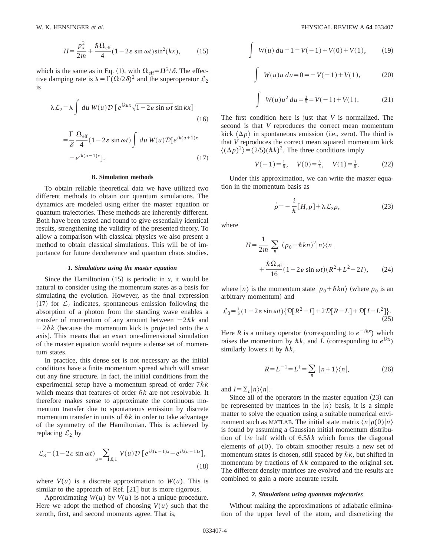$$
H = \frac{p_x^2}{2m} + \frac{\hbar \Omega_{\text{eff}}}{4} (1 - 2\varepsilon \sin \omega t) \sin^2(kx), \qquad (15)
$$

which is the same as in Eq. (1), with  $\Omega_{\text{eff}} = \Omega^2 / \delta$ . The effective damping rate is  $\lambda = \Gamma(\Omega/2\delta)^2$  and the superoperator  $\mathcal{L}_2$ is

$$
\lambda \mathcal{L}_2 = \lambda \int du W(u) \mathcal{D} \left[ e^{ikux} \sqrt{1 - 2\varepsilon \sin \omega t} \sin kx \right]
$$
\n(16)

$$
= \frac{\Gamma}{\delta} \frac{\Omega_{\text{eff}}}{4} (1 - 2\varepsilon \sin \omega t) \int du W(u) \mathcal{D}[e^{ik(u+1)x} - e^{ik(u-1)x}].
$$
 (17)

#### **B. Simulation methods**

To obtain reliable theoretical data we have utilized two different methods to obtain our quantum simulations. The dynamics are modeled using either the master equation or quantum trajectories. These methods are inherently different. Both have been tested and found to give essentially identical results, strengthening the validity of the presented theory. To allow a comparison with classical physics we also present a method to obtain classical simulations. This will be of importance for future decoherence and quantum chaos studies.

#### *1. Simulations using the master equation*

Since the Hamiltonian  $(15)$  is periodic in *x*, it would be natural to consider using the momentum states as a basis for simulating the evolution. However, as the final expression (17) for  $\mathcal{L}_2$  indicates, spontaneous emission following the absorption of a photon from the standing wave enables a transfer of momentum of any amount between  $-2\hbar k$  and  $1+2\hbar k$  (because the momentum kick is projected onto the *x* axis). This means that an exact one-dimensional simulation of the master equation would require a dense set of momentum states.

In practice, this dense set is not necessary as the initial conditions have a finite momentum spread which will smear out any fine structure. In fact, the initial conditions from the experimental setup have a momentum spread of order  $7\hbar k$ which means that features of order  $\hbar k$  are not resolvable. It therefore makes sense to approximate the continuous momentum transfer due to spontaneous emission by discrete momentum transfer in units of  $\hbar k$  in order to take advantage of the symmetry of the Hamiltonian. This is achieved by replacing  $\mathcal{L}_2$  by

$$
\mathcal{L}_3 = (1 - 2\varepsilon \sin \omega t) \sum_{u = -1, 0, 1} V(u) \mathcal{D} \left[ e^{ik(u+1)x} - e^{ik(u-1)x} \right],
$$
\n(18)

where  $V(u)$  is a discrete approximation to  $W(u)$ . This is similar to the approach of Ref.  $[21]$  but is more rigorous.

Approximating  $W(u)$  by  $V(u)$  is not a unique procedure. Here we adopt the method of choosing  $V(u)$  such that the zeroth, first, and second moments agree. That is,

$$
\int W(u) du = 1 = V(-1) + V(0) + V(1), \qquad (19)
$$

$$
\int W(u)u \, du = 0 = -V(-1) + V(1), \tag{20}
$$

$$
\int W(u)u^2 du = \frac{2}{5} = V(-1) + V(1).
$$
 (21)

The first condition here is just that *V* is normalized. The second is that *V* reproduces the correct mean momentum kick  $\langle \Delta p \rangle$  in spontaneous emission (i.e., zero). The third is that *V* reproduces the correct mean squared momentum kick  $\langle (\Delta p)^2 \rangle = (2/5)(\hbar k)^2$ . The three conditions imply

$$
V(-1) = \frac{1}{5}, \quad V(0) = \frac{3}{5}, \quad V(1) = \frac{1}{5}.
$$
 (22)

Under this approximation, we can write the master equation in the momentum basis as

$$
\dot{\rho} = -\frac{i}{\hbar} [H, \rho] + \lambda \mathcal{L}_3 \rho, \qquad (23)
$$

where

$$
H = \frac{1}{2m} \sum_{n} (p_0 + \hbar k n)^2 |n\rangle\langle n|
$$
  
+ 
$$
\frac{\hbar \Omega_{\text{eff}}}{16} (1 - 2\varepsilon \sin \omega t)(R^2 + L^2 - 2I), \qquad (24)
$$

where  $|n\rangle$  is the momentum state  $|p_0 + \hbar k n\rangle$  (where  $p_0$  is an arbitrary momentum) and

$$
\mathcal{L}_3 = \frac{1}{5} (1 - 2\varepsilon \sin \omega t) \{ \mathcal{D}[R^2 - I] + 2\mathcal{D}[R - L] + \mathcal{D}[I - L^2] \}.
$$
\n(25)

Here *R* is a unitary operator (corresponding to  $e^{-ikx}$ ) which raises the momentum by  $\hbar k$ , and *L* (corresponding to  $e^{ikx}$ ) similarly lowers it by  $\hbar k$ ,

$$
R = L^{-1} = L^{\dagger} = \sum_{n} |n+1\rangle\langle n|, \qquad (26)
$$

and  $I = \sum_{n} |n\rangle\langle n|$ .

Since all of the operators in the master equation  $(23)$  can be represented by matrices in the  $|n\rangle$  basis, it is a simple matter to solve the equation using a suitable numerical environment such as MATLAB. The initial state matrix  $\langle n|\rho(0)|n\rangle$ is found by assuming a Gaussian initial momentum distribution of  $1/e$  half width of  $6.5\hbar k$  which forms the diagonal elements of  $\rho(0)$ . To obtain smoother results a new set of momentum states is chosen, still spaced by  $\hbar k$ , but shifted in momentum by fractions of  $\hbar k$  compared to the original set. The different density matrices are evolved and the results are combined to gain a more accurate result.

#### *2. Simulations using quantum trajectories*

Without making the approximations of adiabatic elimination of the upper level of the atom, and discretizing the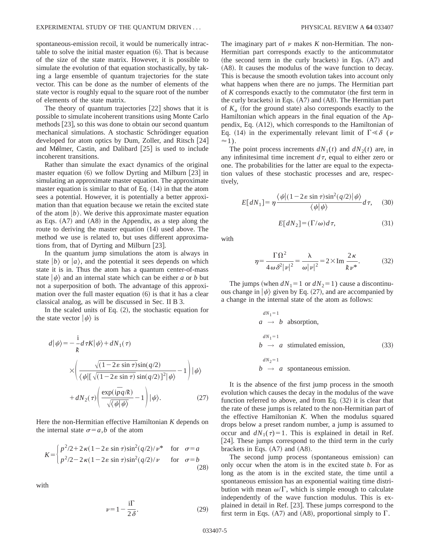spontaneous-emission recoil, it would be numerically intractable to solve the initial master equation  $(6)$ . That is because of the size of the state matrix. However, it is possible to simulate the evolution of that equation stochastically, by taking a large ensemble of quantum trajectories for the state vector. This can be done as the number of elements of the state vector is roughly equal to the square root of the number of elements of the state matrix.

The theory of quantum trajectories  $[22]$  shows that it is possible to simulate incoherent transitions using Monte Carlo methods  $[23]$ , so this was done to obtain our second quantum mechanical simulations. A stochastic Schrödinger equation developed for atom optics by Dum, Zoller, and Ritsch  $[24]$ and Mølmer, Castin, and Dalibard  $[25]$  is used to include incoherent transitions.

Rather than simulate the exact dynamics of the original master equation  $(6)$  we follow Dyrting and Milburn  $[23]$  in simulating an approximate master equation. The approximate master equation is similar to that of Eq.  $(14)$  in that the atom sees a potential. However, it is potentially a better approximation than that equation because we retain the excited state of the atom  $|b\rangle$ . We derive this approximate master equation as Eqs.  $(A7)$  and  $(A8)$  in the Appendix, as a step along the route to deriving the master equation  $(14)$  used above. The method we use is related to, but uses different approximations from, that of Dyrting and Milburn  $[23]$ .

In the quantum jump simulations the atom is always in state  $|b\rangle$  or  $|a\rangle$ , and the potential it sees depends on which state it is in. Thus the atom has a quantum center-of-mass state  $|\psi\rangle$  and an internal state which can be either *a* or *b* but not a superposition of both. The advantage of this approximation over the full master equation  $(6)$  is that it has a clear classical analog, as will be discussed in Sec. II B 3.

In the scaled units of Eq.  $(2)$ , the stochastic equation for the state vector  $|\psi\rangle$  is

$$
d|\psi\rangle = -\frac{i}{k} d\tau K |\psi\rangle + dN_1(\tau)
$$
  
 
$$
\times \left( \frac{\sqrt{(1 - 2\varepsilon \sin \tau)} \sin(q/2)}{\langle \psi | [\sqrt{(1 - 2\varepsilon \sin \tau)} \sin(q/2)]^2 | \psi \rangle} - 1 \right) |\psi\rangle
$$
  
 
$$
+ dN_2(\tau) \left( \frac{\exp(i\bar{p}q/k)}{\sqrt{\langle \psi | \psi \rangle}} - 1 \right) |\psi\rangle.
$$
 (27)

Here the non-Hermitian effective Hamiltonian *K* depends on the internal state  $\sigma = a$ ,*b* of the atom

$$
K = \begin{cases} p^2/2 + 2\kappa (1 - 2\varepsilon \sin \tau) \sin^2(q/2)/\nu^* & \text{for } \sigma = a \\ p^2/2 - 2\kappa (1 - 2\varepsilon \sin \tau) \sin^2(q/2)/\nu & \text{for } \sigma = b \end{cases}
$$
(28)

with

$$
\nu = 1 - \frac{i\Gamma}{2\delta}.\tag{29}
$$

The imaginary part of  $\nu$  makes  $K$  non-Hermitian. The non-Hermitian part corresponds exactly to the anticommutator (the second term in the curly brackets) in Eqs.  $(A7)$  and (A8). It causes the modulus of the wave function to decay. This is because the smooth evolution takes into account only what happens when there are no jumps. The Hermitian part of *K* corresponds exactly to the commutator (the first term in the curly brackets) in Eqs.  $(A7)$  and  $(A8)$ . The Hermitian part of  $K_a$  (for the ground state) also corresponds exactly to the Hamiltonian which appears in the final equation of the Appendix, Eq.  $(A12)$ , which corresponds to the Hamiltonian of Eq. (14) in the experimentally relevant limit of  $\Gamma \ll \delta$  (*v*  $\approx$ 1).

The point process increments  $dN_1(t)$  and  $dN_2(t)$  are, in any infinitesimal time increment  $d\tau$ , equal to either zero or one. The probabilities for the latter are equal to the expectation values of these stochastic processes and are, respectively,

$$
E[dN_1] = \eta \frac{\langle \psi | (1 - 2\varepsilon \sin \tau) \sin^2(q/2) | \psi \rangle}{\langle \psi | \psi \rangle} d\tau, \quad (30)
$$

$$
E[dN_2] = (\Gamma/\omega)d\tau, \tag{31}
$$

with

$$
\eta = \frac{\Gamma \Omega^2}{4 \omega \delta^2 |\nu|^2} = \frac{\lambda}{\omega |\nu|^2} = 2 \times \text{Im} \frac{2 \kappa}{k \nu^*}.
$$
 (32)

The jumps (when  $dN_1 = 1$  or  $dN_2 = 1$ ) cause a discontinuous change in  $|\psi\rangle$  given by Eq. (27), and are accompanied by a change in the internal state of the atom as follows:

$$
dN_1 = 1
$$
\n
$$
a \rightarrow b \text{ absorption},
$$
\n
$$
dN_1 = 1
$$
\n
$$
b \rightarrow a \text{ stimulated emission},
$$
\n
$$
dN_2 = 1
$$
\n
$$
b \rightarrow a \text{ spontaneous emission}.
$$
\n(33)

It is the absence of the first jump process in the smooth evolution which causes the decay in the modulus of the wave function referred to above, and from Eq.  $(32)$  it is clear that the rate of these jumps is related to the non-Hermitian part of the effective Hamiltonian *K*. When the modulus squared drops below a preset random number, a jump is assumed to occur and  $dN_1(\tau)=1$ . This is explained in detail in Ref. [ $24$ ]. These jumps correspond to the third term in the curly brackets in Eqs.  $(A7)$  and  $(A8)$ .

The second jump process (spontaneous emission) can only occur when the atom is in the excited state *b*. For as long as the atom is in the excited state, the time until a spontaneous emission has an exponential waiting time distribution with mean  $\omega/\Gamma$ , which is simple enough to calculate independently of the wave function modulus. This is explained in detail in Ref.  $[23]$ . These jumps correspond to the first term in Eqs. (A7) and (A8), proportional simply to  $\Gamma$ .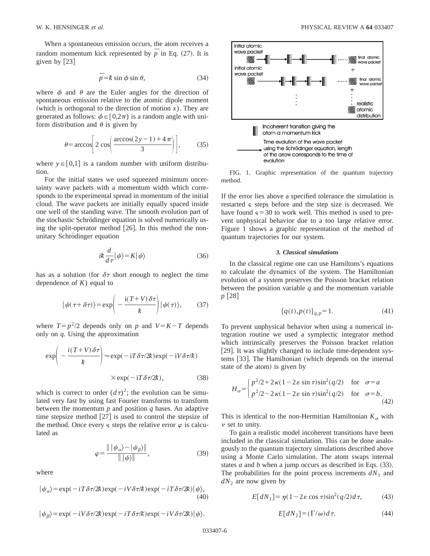When a spontaneous emission occurs, the atom receives a random momentum kick represented by  $\overline{p}$  in Eq. (27). It is given by  $[23]$ 

$$
\bar{p} = k \sin \phi \sin \theta, \qquad (34)
$$

where  $\phi$  and  $\theta$  are the Euler angles for the direction of spontaneous emission relative to the atomic dipole moment (which is orthogonal to the direction of motion  $x$ ). They are generated as follows:  $\phi \in [0,2\pi)$  is a random angle with uniform distribution and  $\theta$  is given by

$$
\theta = \arccos\left[2\cos\left(\frac{\arccos(2y-1)+4\pi}{3}\right)\right],\tag{35}
$$

where  $y \in [0,1]$  is a random number with uniform distribution.

For the initial states we used squeezed minimum uncertainty wave packets with a momentum width which corresponds to the experimental spread in momentum of the initial cloud. The wave packets are initially equally spaced inside one well of the standing wave. The smooth evolution part of the stochastic Schrödinger equation is solved numerically using the split-operator method  $[26]$ . In this method the nonunitary Schrödinger equation

$$
i\hbar \frac{d}{d\tau} |\psi\rangle = K |\psi\rangle \tag{36}
$$

has as a solution (for  $\delta\tau$  short enough to neglect the time dependence of *K*) equal to

$$
|\psi(\tau + \delta \tau)\rangle = \exp\left(-\frac{i(T + V)\delta \tau}{k}\right)|\psi(\tau)\rangle, \qquad (37)
$$

where  $T = p^2/2$  depends only on *p* and  $V = K - T$  depends only on *q*. Using the approximation

$$
\exp\left(-\frac{i(T+V)\delta\tau}{k}\right) \approx \exp(-i\tau\delta\tau/2k)\exp(-iV\delta\tau/k)
$$
  
 
$$
\times \exp(-i\tau\delta\tau/2k), \qquad (38)
$$

which is correct to order  $(d\tau)^2$ ; the evolution can be simulated very fast by using fast Fourier transforms to transform between the momentum *p* and position *q* bases. An adaptive time stepsize method  $[27]$  is used to control the stepsize of the method. Once every  $\varsigma$  steps the relative error  $\varphi$  is calculated as

$$
\varphi = \frac{\| |\psi_{\alpha}\rangle - |\psi_{\beta}\rangle \|}{\| |\psi\rangle \|}, \tag{39}
$$

where

$$
|\psi_{\alpha}\rangle = \exp(-i T \delta \tau / 2k) \exp(-i V \delta \tau / k) \exp(-i T \delta \tau / 2k) |\psi\rangle, \tag{40}
$$



FIG. 1. Graphic representation of the quantum trajectory method.

If the error lies above a specified tolerance the simulation is restarted § steps before and the step size is decreased. We have found  $\varsigma$  = 30 to work well. This method is used to prevent unphysical behavior due to a too large relative error. Figure 1 shows a graphic representation of the method of quantum trajectories for our system.

#### *3. Classical simulations*

In the classical regime one can use Hamiltons's equations to calculate the dynamics of the system. The Hamiltonian evolution of a system preserves the Poisson bracket relation between the position variable *q* and the momentum variable *p* [28]

$$
\{q(t), p(t)\}_{q,p} = 1.
$$
 (41)

To prevent unphysical behavior when using a numerical integration routine we used a symplectic integrator method which intrinsically preserves the Poisson bracket relation [29]. It was slightly changed to include time-dependent systems [33]. The Hamiltonian (which depends on the internal state of the atom) is given by

$$
H_{\sigma} = \begin{cases} p^2/2 + 2\kappa (1 - 2\varepsilon \sin \tau) \sin^2(q/2) & \text{for } \sigma = a \\ p^2/2 - 2\kappa (1 - 2\varepsilon \sin \tau) \sin^2(q/2) & \text{for } \sigma = b. \end{cases}
$$
(42)

This is identical to the non-Hermitian Hamiltonian  $K_{\sigma}$  with  $\nu$  set to unity.

To gain a realistic model incoherent transitions have been included in the classical simulation. This can be done analogously to the quantum trajectory simulations described above using a Monte Carlo simulation. The atom swaps internal states *a* and *b* when a jump occurs as described in Eqs.  $(33)$ . The probabilities for the point process increments  $dN_1$  and *dN*<sup>2</sup> are now given by

$$
E[dN_1] = \eta(1 - 2\varepsilon \cos \tau) \sin^2(q/2) d\tau, \qquad (43)
$$

$$
E[dN_2] = (\Gamma/\omega)d\tau.
$$
 (44)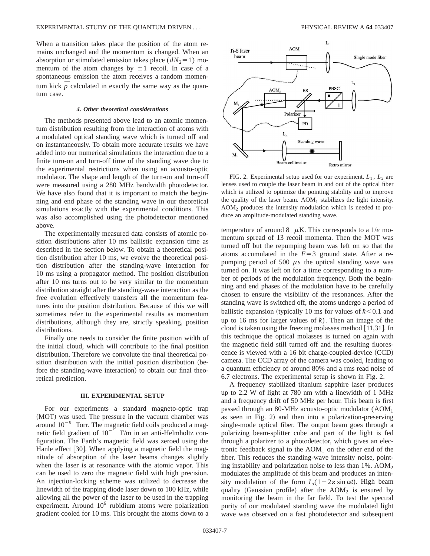When a transition takes place the position of the atom remains unchanged and the momentum is changed. When an absorption or stimulated emission takes place  $(dN<sub>2</sub>=1)$  momentum of the atom changes by  $\pm 1$  recoil. In case of a spontaneous emission the atom receives a random momentum kick  $p$  calculated in exactly the same way as the quantum case.

#### *4. Other theoretical considerations*

The methods presented above lead to an atomic momentum distribution resulting from the interaction of atoms with a modulated optical standing wave which is turned off and on instantaneously. To obtain more accurate results we have added into our numerical simulations the interaction due to a finite turn-on and turn-off time of the standing wave due to the experimental restrictions when using an acousto-optic modulator. The shape and length of the turn-on and turn-off were measured using a 280 MHz bandwidth photodetector. We have also found that it is important to match the beginning and end phase of the standing wave in our theoretical simulations exactly with the experimental conditions. This was also accomplished using the photodetector mentioned above.

The experimentally measured data consists of atomic position distributions after 10 ms ballistic expansion time as described in the section below. To obtain a theoretical position distribution after 10 ms, we evolve the theoretical position distribution after the standing-wave interaction for 10 ms using a propagator method. The position distribution after 10 ms turns out to be very similar to the momentum distribution straight after the standing-wave interaction as the free evolution effectively transfers all the momentum features into the position distribution. Because of this we will sometimes refer to the experimental results as momentum distributions, although they are, strictly speaking, position distributions.

Finally one needs to consider the finite position width of the initial cloud, which will contribute to the final position distribution. Therefore we convolute the final theoretical position distribution with the initial position distribution (before the standing-wave interaction) to obtain our final theoretical prediction.

#### **III. EXPERIMENTAL SETUP**

For our experiments a standard magneto-optic trap (MOT) was used. The pressure in the vacuum chamber was around  $10^{-9}$  Torr. The magnetic field coils produced a magnetic field gradient of  $10^{-1}$  T/m in an anti-Helmholtz configuration. The Earth's magnetic field was zeroed using the Hanle effect  $[30]$ . When applying a magnetic field the magnitude of absorption of the laser beams changes slightly when the laser is at resonance with the atomic vapor. This can be used to zero the magnetic field with high precision. An injection-locking scheme was utilized to decrease the linewidth of the trapping diode laser down to 100 kHz, while allowing all the power of the laser to be used in the trapping experiment. Around 10<sup>6</sup> rubidium atoms were polarization gradient cooled for 10 ms. This brought the atoms down to a



FIG. 2. Experimental setup used for our experiment.  $L_1$ ,  $L_2$  are lenses used to couple the laser beam in and out of the optical fiber which is utilized to optimize the pointing stability and to improve the quality of the laser beam.  $AOM<sub>1</sub>$  stabilizes the light intensity.  $AOM<sub>2</sub>$  produces the intensity modulation which is needed to produce an amplitude-modulated standing wave.

temperature of around 8  $\mu$ K. This corresponds to a 1/*e* momentum spread of 13 recoil momenta. Then the MOT was turned off but the repumping beam was left on so that the atoms accumulated in the  $F=3$  ground state. After a repumping period of 500  $\mu s$  the optical standing wave was turned on. It was left on for a time corresponding to a number of periods of the modulation frequency. Both the beginning and end phases of the modulation have to be carefully chosen to ensure the visibility of the resonances. After the standing wave is switched off, the atoms undergo a period of ballistic expansion (typically 10 ms for values of  $k < 0.1$  and up to 16 ms for larger values of  $k$ ). Then an image of the cloud is taken using the freezing molasses method  $[11,31]$ . In this technique the optical molasses is turned on again with the magnetic field still turned off and the resulting fluorescence is viewed with a  $16$  bit charge-coupled-device  $(CCD)$ camera. The CCD array of the camera was cooled, leading to a quantum efficiency of around 80% and a rms read noise of 6.7 electrons. The experimental setup is shown in Fig. 2.

A frequency stabilized titanium sapphire laser produces up to 2.2 W of light at 780 nm with a linewidth of 1 MHz and a frequency drift of 50 MHz per hour. This beam is first passed through an 80-MHz acousto-optic modulator  $(AOM<sub>1</sub>)$ as seen in Fig. 2) and then into a polarization-preserving single-mode optical fiber. The output beam goes through a polarizing beam-splitter cube and part of the light is fed through a polarizer to a photodetector, which gives an electronic feedback signal to the  $AOM<sub>1</sub>$  on the other end of the fiber. This reduces the standing-wave intensity noise, pointing instability and polarization noise to less than  $1\%$ . AOM<sub>2</sub> modulates the amplitude of this beam and produces an intensity modulation of the form  $I_o(1-2\varepsilon \sin \omega t)$ . High beam quality (Gaussian profile) after the  $AOM<sub>2</sub>$  is ensured by monitoring the beam in the far field. To test the spectral purity of our modulated standing wave the modulated light wave was observed on a fast photodetector and subsequent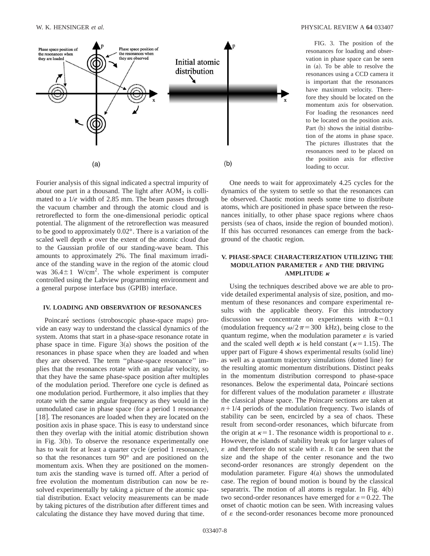

FIG. 3. The position of the resonances for loading and observation in phase space can be seen in (a). To be able to resolve the resonances using a CCD camera it is important that the resonances have maximum velocity. Therefore they should be located on the momentum axis for observation. For loading the resonances need to be located on the position axis. Part (b) shows the initial distribution of the atoms in phase space. The pictures illustrates that the resonances need to be placed on the position axis for effective loading to occur.

Fourier analysis of this signal indicated a spectral impurity of about one part in a thousand. The light after  $AOM<sub>2</sub>$  is collimated to a 1/*e* width of 2.85 mm. The beam passes through the vacuum chamber and through the atomic cloud and is retroreflected to form the one-dimensional periodic optical potential. The alignment of the retroreflection was measured to be good to approximately 0.02°. There is a variation of the scaled well depth  $\kappa$  over the extent of the atomic cloud due to the Gaussian profile of our standing-wave beam. This amounts to approximately 2%. The final maximum irradiance of the standing wave in the region of the atomic cloud was  $36.4 \pm 1$  W/cm<sup>2</sup>. The whole experiment is computer controlled using the Labview programming environment and a general purpose interface bus (GPIB) interface.

#### **IV. LOADING AND OBSERVATION OF RESONANCES**

Poincaré sections (stroboscopic phase-space maps) provide an easy way to understand the classical dynamics of the system. Atoms that start in a phase-space resonance rotate in phase space in time. Figure  $3(a)$  shows the position of the resonances in phase space when they are loaded and when they are observed. The term ''phase-space resonance'' implies that the resonances rotate with an angular velocity, so that they have the same phase-space position after multiples of the modulation period. Therefore one cycle is defined as one modulation period. Furthermore, it also implies that they rotate with the same angular frequency as they would in the unmodulated case in phase space (for a period 1 resonance) [18]. The resonances are loaded when they are located on the position axis in phase space. This is easy to understand since then they overlap with the initial atomic distribution shown in Fig.  $3(b)$ . To observe the resonance experimentally one has to wait for at least a quarter cycle (period 1 resonance), so that the resonances turn 90° and are positioned on the momentum axis. When they are positioned on the momentum axis the standing wave is turned off. After a period of free evolution the momentum distribution can now be resolved experimentally by taking a picture of the atomic spatial distribution. Exact velocity measurements can be made by taking pictures of the distribution after different times and calculating the distance they have moved during that time.

One needs to wait for approximately 4.25 cycles for the dynamics of the system to settle so that the resonances can be observed. Chaotic motion needs some time to distribute atoms, which are positioned in phase space between the resonances initially, to other phase space regions where chaos persists (sea of chaos, inside the region of bounded motion). If this has occurred resonances can emerge from the background of the chaotic region.

#### **V. PHASE-SPACE CHARACTERIZATION UTILIZING THE MODULATION PARAMETER** « **AND THE DRIVING AMPLITUDE**  $\kappa$

Using the techniques described above we are able to provide detailed experimental analysis of size, position, and momentum of these resonances and compare experimental results with the applicable theory. For this introductory discussion we concentrate on experiments with  $k=0.1$ (modulation frequency  $\omega/2\pi$ =300 kHz), being close to the quantum regime, when the modulation parameter  $\varepsilon$  is varied and the scaled well depth  $\kappa$  is held constant ( $\kappa=1.15$ ). The upper part of Figure 4 shows experimental results (solid line) as well as a quantum trajectory simulations (dotted line) for the resulting atomic momentum distributions. Distinct peaks in the momentum distribution correspond to phase-space resonances. Below the experimental data, Poincaré sections for different values of the modulation parameter  $\varepsilon$  illustrate the classical phase space. The Poincaré sections are taken at  $n+1/4$  periods of the modulation frequency. Two islands of stability can be seen, encircled by a sea of chaos. These result from second-order resonances, which bifurcate from the origin at  $\kappa=1$ . The resonance width is proportional to  $\varepsilon$ . However, the islands of stability break up for larger values of  $\varepsilon$  and therefore do not scale with  $\varepsilon$ . It can be seen that the size and the shape of the center resonance and the two second-order resonances are strongly dependent on the modulation parameter. Figure  $4(a)$  shows the unmodulated case. The region of bound motion is bound by the classical separatrix. The motion of all atoms is regular. In Fig.  $4(b)$ two second-order resonances have emerged for  $\varepsilon = 0.22$ . The onset of chaotic motion can be seen. With increasing values of  $\varepsilon$  the second-order resonances become more pronounced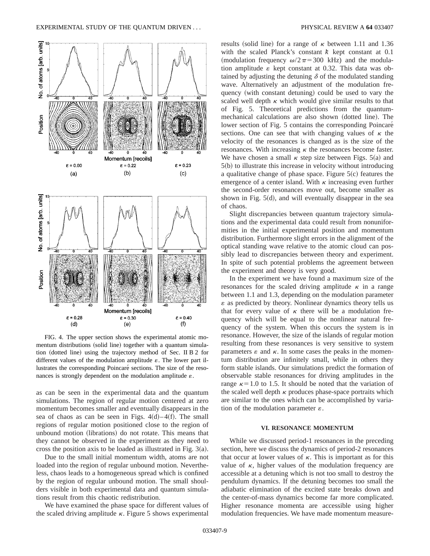

FIG. 4. The upper section shows the experimental atomic momentum distributions (solid line) together with a quantum simulation (dotted line) using the trajectory method of Sec. II B 2 for different values of the modulation amplitude  $\varepsilon$ . The lower part illustrates the corresponding Poincaré sections. The size of the resonances is strongly dependent on the modulation amplitude  $\varepsilon$ .

as can be seen in the experimental data and the quantum simulations. The region of regular motion centered at zero momentum becomes smaller and eventually disappears in the sea of chaos as can be seen in Figs.  $4(d) - 4(f)$ . The small regions of regular motion positioned close to the region of unbound motion (librations) do not rotate. This means that they cannot be observed in the experiment as they need to cross the position axis to be loaded as illustrated in Fig.  $3(a)$ .

Due to the small initial momentum width, atoms are not loaded into the region of regular unbound motion. Nevertheless, chaos leads to a homogeneous spread which is confined by the region of regular unbound motion. The small shoulders visible in both experimental data and quantum simulations result from this chaotic redistribution.

We have examined the phase space for different values of the scaled driving amplitude  $\kappa$ . Figure 5 shows experimental

results (solid line) for a range of  $\kappa$  between 1.11 and 1.36 with the scaled Planck's constant  $k$  kept constant at 0.1 (modulation frequency  $\omega/2\pi$ =300 kHz) and the modulation amplitude  $\varepsilon$  kept constant at 0.32. This data was obtained by adjusting the detuning  $\delta$  of the modulated standing wave. Alternatively an adjustment of the modulation frequency (with constant detuning) could be used to vary the scaled well depth  $\kappa$  which would give similar results to that of Fig. 5. Theoretical predictions from the quantummechanical calculations are also shown (dotted line). The lower section of Fig. 5 contains the corresponding Poincaré sections. One can see that with changing values of  $\kappa$  the velocity of the resonances is changed as is the size of the resonances. With increasing  $\kappa$  the resonances become faster. We have chosen a small  $\kappa$  step size between Figs. 5(a) and  $5(b)$  to illustrate this increase in velocity without introducing a qualitative change of phase space. Figure  $5(c)$  features the emergence of a center island. With  $\kappa$  increasing even further the second-order resonances move out, become smaller as shown in Fig.  $5(d)$ , and will eventually disappear in the sea of chaos.

Slight discrepancies between quantum trajectory simulations and the experimental data could result from nonuniformities in the initial experimental position and momentum distribution. Furthermore slight errors in the alignment of the optical standing wave relative to the atomic cloud can possibly lead to discrepancies between theory and experiment. In spite of such potential problems the agreement between the experiment and theory is very good.

In the experiment we have found a maximum size of the resonances for the scaled driving amplitude  $\kappa$  in a range between 1.1 and 1.3, depending on the modulation parameter  $\varepsilon$  as predicted by theory. Nonlinear dynamics theory tells us that for every value of  $\kappa$  there will be a modulation frequency which will be equal to the nonlinear natural frequency of the system. When this occurs the system is in resonance. However, the size of the islands of regular motion resulting from these resonances is very sensitive to system parameters  $\varepsilon$  and  $\kappa$ . In some cases the peaks in the momentum distribution are infinitely small, while in others they form stable islands. Our simulations predict the formation of observable stable resonances for driving amplitudes in the range  $\kappa$ =1.0 to 1.5. It should be noted that the variation of the scaled well depth  $\kappa$  produces phase-space portraits which are similar to the ones which can be accomplished by variation of the modulation parameter  $\varepsilon$ .

#### **VI. RESONANCE MOMENTUM**

While we discussed period-1 resonances in the preceding section, here we discuss the dynamics of period-2 resonances that occur at lower values of  $\kappa$ . This is important as for this value of  $\kappa$ , higher values of the modulation frequency are accessible at a detuning which is not too small to destroy the pendulum dynamics. If the detuning becomes too small the adiabatic elimination of the excited state breaks down and the center-of-mass dynamics become far more complicated. Higher resonance momenta are accessible using higher modulation frequencies. We have made momentum measure-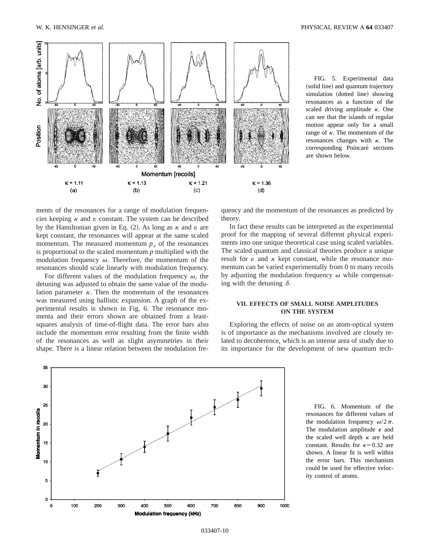

FIG. 5. Experimental data (solid line) and quantum trajectory simulation (dotted line) showing resonances as a function of the scaled driving amplitude  $\kappa$ . One can see that the islands of regular motion appear only for a small range of  $\kappa$ . The momentum of the resonances changes with  $\kappa$ . The corresponding Poincaré sections are shown below.

ments of the resonances for a range of modulation frequencies keeping  $\kappa$  and  $\varepsilon$  constant. The system can be described by the Hamiltonian given in Eq. (2). As long as  $\kappa$  and  $\varepsilon$  are kept constant, the resonances will appear at the same scaled momentum. The measured momentum  $p<sub>x</sub>$  of the resonances is proportional to the scaled momentum *p* multiplied with the modulation frequency  $\omega$ . Therefore, the momentum of the resonances should scale linearly with modulation frequency.

For different values of the modulation frequency  $\omega$ , the detuning was adjusted to obtain the same value of the modulation parameter  $\kappa$ . Then the momentum of the resonances was measured using ballistic expansion. A graph of the experimental results is shown in Fig. 6. The resonance momenta and their errors shown are obtained from a leastsquares analysis of time-of-flight data. The error bars also include the momentum error resulting from the finite width of the resonances as well as slight asymmetries in their shape. There is a linear relation between the modulation frequency and the momentum of the resonances as predicted by theory.

In fact these results can be interpreted as the experimental proof for the mapping of several different physical experiments into one unique theoretical case using scaled variables. The scaled quantum and classical theories produce a unique result for  $\varepsilon$  and  $\kappa$  kept constant, while the resonance momentum can be varied experimentally from 0 to many recoils by adjusting the modulation frequency  $\omega$  while compensating with the detuning  $\delta$ .

#### **VII. EFFECTS OF SMALL NOISE AMPLITUDES ON THE SYSTEM**

Exploring the effects of noise on an atom-optical system is of importance as the mechanisms involved are closely related to decoherence, which is an intense area of study due to its importance for the development of new quantum tech-



FIG. 6. Momentum of the resonances for different values of the modulation frequency  $\omega/2\pi$ . The modulation amplitude  $\epsilon$  and the scaled well depth  $\kappa$  are held constant. Results for  $\epsilon$ =0.32 are shown. A linear fit is well within the error bars. This mechanism could be used for effective velocity control of atoms.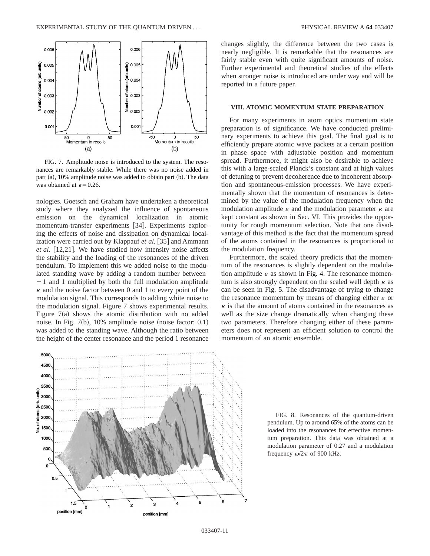

FIG. 7. Amplitude noise is introduced to the system. The resonances are remarkably stable. While there was no noise added in part  $(a)$ , 10% amplitude noise was added to obtain part  $(b)$ . The data was obtained at  $\epsilon$ =0.26.

nologies. Goetsch and Graham have undertaken a theoretical study where they analyzed the influence of spontaneous emission on the dynamical localization in atomic momentum-transfer experiments [34]. Experiments exploring the effects of noise and dissipation on dynamical localization were carried out by Klappauf et al. [35] and Ammann *et al.* [12,21]. We have studied how intensity noise affects the stability and the loading of the resonances of the driven pendulum. To implement this we added noise to the modulated standing wave by adding a random number between  $-1$  and 1 multiplied by both the full modulation amplitude  $\kappa$  and the noise factor between 0 and 1 to every point of the modulation signal. This corresponds to adding white noise to the modulation signal. Figure 7 shows experimental results. Figure  $7(a)$  shows the atomic distribution with no added noise. In Fig.  $7(b)$ , 10% amplitude noise (noise factor: 0.1) was added to the standing wave. Although the ratio between the height of the center resonance and the period 1 resonance changes slightly, the difference between the two cases is nearly negligible. It is remarkable that the resonances are fairly stable even with quite significant amounts of noise. Further experimental and theoretical studies of the effects when stronger noise is introduced are under way and will be reported in a future paper.

#### **VIII. ATOMIC MOMENTUM STATE PREPARATION**

For many experiments in atom optics momentum state preparation is of significance. We have conducted preliminary experiments to achieve this goal. The final goal is to efficiently prepare atomic wave packets at a certain position in phase space with adjustable position and momentum spread. Furthermore, it might also be desirable to achieve this with a large-scaled Planck's constant and at high values of detuning to prevent decoherence due to incoherent absorption and spontaneous-emission processes. We have experimentally shown that the momentum of resonances is determined by the value of the modulation frequency when the modulation amplitude  $\varepsilon$  and the modulation parameter  $\kappa$  are kept constant as shown in Sec. VI. This provides the opportunity for rough momentum selection. Note that one disadvantage of this method is the fact that the momentum spread of the atoms contained in the resonances is proportional to the modulation frequency.

Furthermore, the scaled theory predicts that the momentum of the resonances is slightly dependent on the modulation amplitude  $\varepsilon$  as shown in Fig. 4. The resonance momentum is also strongly dependent on the scaled well depth  $\kappa$  as can be seen in Fig. 5. The disadvantage of trying to change the resonance momentum by means of changing either  $\varepsilon$  or  $\kappa$  is that the amount of atoms contained in the resonances as well as the size change dramatically when changing these two parameters. Therefore changing either of these parameters does not represent an efficient solution to control the momentum of an atomic ensemble.



FIG. 8. Resonances of the quantum-driven pendulum. Up to around 65% of the atoms can be loaded into the resonances for effective momentum preparation. This data was obtained at a modulation parameter of 0.27 and a modulation frequency  $\omega/2\pi$  of 900 kHz.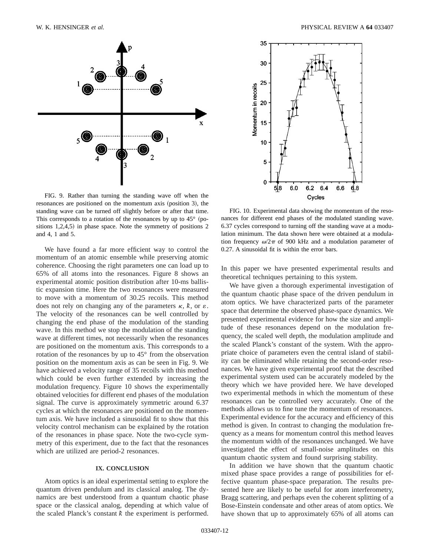

FIG. 9. Rather than turning the standing wave off when the  $resonances are positioned on the momentum axis (position 3), the$ standing wave can be turned off slightly before or after that time. This corresponds to a rotation of the resonances by up to  $45^{\circ}$  (positions  $1,2,4,5$ ) in phase space. Note the symmetry of positions 2 and 4, 1 and 5.

We have found a far more efficient way to control the momentum of an atomic ensemble while preserving atomic coherence. Choosing the right parameters one can load up to 65% of all atoms into the resonances. Figure 8 shows an experimental atomic position distribution after 10-ms ballistic expansion time. Here the two resonances were measured to move with a momentum of 30.25 recoils. This method does not rely on changing any of the parameters  $\kappa$ ,  $\dot{k}$ , or  $\varepsilon$ . The velocity of the resonances can be well controlled by changing the end phase of the modulation of the standing wave. In this method we stop the modulation of the standing wave at different times, not necessarily when the resonances are positioned on the momentum axis. This corresponds to a rotation of the resonances by up to 45° from the observation position on the momentum axis as can be seen in Fig. 9. We have achieved a velocity range of 35 recoils with this method which could be even further extended by increasing the modulation frequency. Figure 10 shows the experimentally obtained velocities for different end phases of the modulation signal. The curve is approximately symmetric around 6.37 cycles at which the resonances are positioned on the momentum axis. We have included a sinusoidal fit to show that this velocity control mechanism can be explained by the rotation of the resonances in phase space. Note the two-cycle symmetry of this experiment, due to the fact that the resonances which are utilized are period-2 resonances.

#### **IX. CONCLUSION**

Atom optics is an ideal experimental setting to explore the quantum driven pendulum and its classical analog. The dynamics are best understood from a quantum chaotic phase space or the classical analog, depending at which value of the scaled Planck's constant  $k$  the experiment is performed.



FIG. 10. Experimental data showing the momentum of the resonances for different end phases of the modulated standing wave. 6.37 cycles correspond to turning off the standing wave at a modulation minimum. The data shown here were obtained at a modulation frequency  $\omega/2\pi$  of 900 kHz and a modulation parameter of 0.27. A sinusoidal fit is within the error bars.

In this paper we have presented experimental results and theoretical techniques pertaining to this system.

We have given a thorough experimental investigation of the quantum chaotic phase space of the driven pendulum in atom optics. We have characterized parts of the parameter space that determine the observed phase-space dynamics. We presented experimental evidence for how the size and amplitude of these resonances depend on the modulation frequency, the scaled well depth, the modulation amplitude and the scaled Planck's constant of the system. With the appropriate choice of parameters even the central island of stability can be eliminated while retaining the second-order resonances. We have given experimental proof that the described experimental system used can be accurately modeled by the theory which we have provided here. We have developed two experimental methods in which the momentum of these resonances can be controlled very accurately. One of the methods allows us to fine tune the momentum of resonances. Experimental evidence for the accuracy and efficiency of this method is given. In contrast to changing the modulation frequency as a means for momentum control this method leaves the momentum width of the resonances unchanged. We have investigated the effect of small-noise amplitudes on this quantum chaotic system and found surprising stability.

In addition we have shown that the quantum chaotic mixed phase space provides a range of possibilities for effective quantum phase-space preparation. The results presented here are likely to be useful for atom interferometry, Bragg scattering, and perhaps even the coherent splitting of a Bose-Einstein condensate and other areas of atom optics. We have shown that up to approximately 65% of all atoms can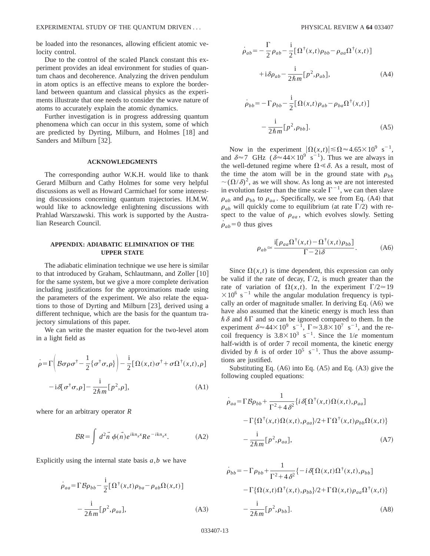be loaded into the resonances, allowing efficient atomic velocity control.

Due to the control of the scaled Planck constant this experiment provides an ideal environment for studies of quantum chaos and decoherence. Analyzing the driven pendulum in atom optics is an effective means to explore the borderland between quantum and classical physics as the experiments illustrate that one needs to consider the wave nature of atoms to accurately explain the atomic dynamics.

Further investigation is in progress addressing quantum phenomena which can occur in this system, some of which are predicted by Dyrting, Milburn, and Holmes  $[18]$  and Sanders and Milburn [32].

#### **ACKNOWLEDGMENTS**

The corresponding author W.K.H. would like to thank Gerard Milburn and Cathy Holmes for some very helpful discussions as well as Howard Carmichael for some interesting discussions concerning quantum trajectories. H.M.W. would like to acknowledge enlightening discussions with Prahlad Warszawski. This work is supported by the Australian Research Council.

#### **APPENDIX: ADIABATIC ELIMINATION OF THE UPPER STATE**

The adiabatic elimination technique we use here is similar to that introduced by Graham, Schlautmann, and Zoller  $[10]$ for the same system, but we give a more complete derivation including justifications for the approximations made using the parameters of the experiment. We also relate the equations to those of Dyrting and Milburn  $[23]$ , derived using a different technique, which are the basis for the quantum trajectory simulations of this paper.

We can write the master equation for the two-level atom in a light field as

$$
\dot{\rho} = \Gamma \left( \mathcal{B} \sigma \rho \sigma^{\dagger} - \frac{1}{2} \{ \sigma^{\dagger} \sigma, \rho \} \right) - \frac{i}{2} \left[ \Omega(x, t) \sigma^{\dagger} + \sigma \Omega^{\dagger}(x, t), \rho \right]
$$

$$
- i \delta [\sigma^{\dagger} \sigma, \rho] - \frac{i}{2 \hbar m} [\rho^2, \rho], \tag{A1}
$$

where for an arbitrary operator *R*

$$
BR = \int d^2\vec{n} \phi(\vec{n}) e^{ikn_x x} Re^{-ikn_x x}.
$$
 (A2)

Explicitly using the internal state basis *a*,*b* we have

$$
\dot{\rho}_{aa} = \Gamma \mathcal{B} \rho_{bb} - \frac{i}{2} [\Omega^{\dagger}(x, t) \rho_{ba} - \rho_{ab} \Omega(x, t)]
$$

$$
- \frac{i}{2\hbar m} [\rho^2, \rho_{aa}], \tag{A3}
$$

$$
\dot{\rho}_{ab} = -\frac{\Gamma}{2} \rho_{ab} - \frac{i}{2} [\Omega^{\dagger}(x, t) \rho_{bb} - \rho_{aa} \Omega^{\dagger}(x, t)]
$$

$$
+ i \delta \rho_{ab} - \frac{i}{2 \hbar m} [\rho^2, \rho_{ab}], \tag{A4}
$$

$$
\dot{\rho}_{bb} = -\Gamma \rho_{bb} - \frac{i}{2} [\Omega(x,t)\rho_{ab} - \rho_{ba} \Omega^{\dagger}(x,t)]
$$

$$
-\frac{i}{2\hbar m} [\rho^2, \rho_{bb}].
$$
 (A5)

Now in the experiment  $|\Omega(x,t)| \le \Omega \approx 4.65 \times 10^9 \text{ s}^{-1}$ , and  $\delta \approx 7$  GHz ( $\delta \approx 44 \times 10^{9}$  s<sup>-1</sup>). Thus we are always in the well-detuned regime where  $\Omega \ll \delta$ . As a result, most of the time the atom will be in the ground state with  $\rho_{hh}$  $\sim (\Omega/\delta)^2$ , as we will show. As long as we are not interested in evolution faster than the time scale  $\Gamma^{-1}$ , we can then slave  $\rho_{ab}$  and  $\rho_{bb}$  to  $\rho_{aa}$ . Specifically, we see from Eq. (A4) that  $\rho_{ab}$  will quickly come to equilibrium (at rate  $\Gamma/2$ ) with respect to the value of  $\rho_{aa}$ , which evolves slowly. Setting  $\dot{\rho}_{ab}$ =0 thus gives

$$
\rho_{ab} \simeq \frac{\mathrm{i} [\rho_{aa} \Omega^{\dagger}(x,t) - \Omega^{\dagger}(x,t) \rho_{bb}]}{\Gamma - 2\mathrm{i} \delta}.
$$
 (A6)

Since  $\Omega(x,t)$  is time dependent, this expression can only be valid if the rate of decay,  $\Gamma/2$ , is much greater than the rate of variation of  $\Omega(x,t)$ . In the experiment  $\Gamma/2 \approx 19$  $\times 10^6$  s<sup>-1</sup> while the angular modulation frequency is typically an order of magnitude smaller. In deriving Eq.  $(A6)$  we have also assumed that the kinetic energy is much less than  $\hbar \delta$  and  $\hbar \Gamma$  and so can be ignored compared to them. In the experiment  $\delta \approx 44 \times 10^9 \text{ s}^{-1}$ ,  $\Gamma \approx 3.8 \times 10^7 \text{ s}^{-1}$ , and the recoil frequency is  $3.8 \times 10^3$  s<sup>-1</sup>. Since the 1/*e* momentum half-width is of order 7 recoil momenta, the kinetic energy divided by  $\hbar$  is of order  $10^5$  s<sup>-1</sup>. Thus the above assumptions are justified.

Substituting Eq.  $(A6)$  into Eq.  $(A5)$  and Eq.  $(A3)$  give the following coupled equations:

$$
\dot{\rho}_{aa} = \Gamma \mathcal{B} \rho_{bb} + \frac{1}{\Gamma^2 + 4\delta^2} \{ i \, \delta [\Omega^\dagger(x, t) \Omega(x, t), \rho_{aa}] \}
$$

$$
- \Gamma \{ \Omega^\dagger(x, t) \Omega(x, t), \rho_{aa} \} / 2 + \Gamma \Omega^\dagger(x, t) \rho_{bb} \Omega(x, t) \}
$$

$$
- \frac{i}{2\hbar m} [\rho^2, \rho_{aa}], \tag{A7}
$$

$$
\dot{\rho}_{bb} = -\Gamma \rho_{bb} + \frac{1}{\Gamma^2 + 4\delta^2} \{-i\delta[\Omega(x,t)\Omega^{\dagger}(x,t), \rho_{bb}] -\Gamma\{\Omega(x,t)\Omega^{\dagger}(x,t), \rho_{bb}\}/2 + \Gamma\Omega(x,t)\rho_{aa}\Omega^{\dagger}(x,t)\} - \frac{i}{2\hbar m} [\rho^2, \rho_{bb}].
$$
\n(A8)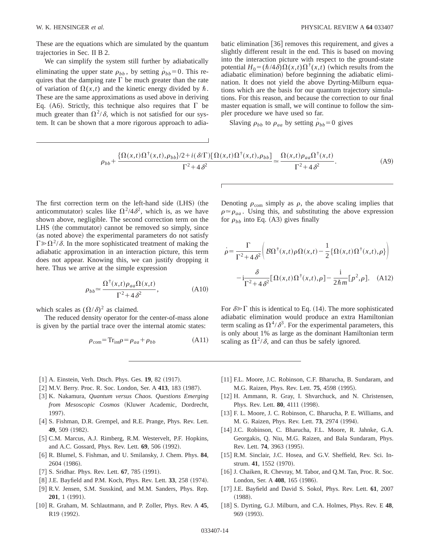These are the equations which are simulated by the quantum trajectories in Sec. II B 2.

We can simplify the system still further by adiabatically eliminating the upper state  $\rho_{bb}$ , by setting  $\rho_{bb} = 0$ . This requires that the damping rate  $\Gamma$  be much greater than the rate of variation of  $\Omega(x,t)$  and the kinetic energy divided by  $\hbar$ . These are the same approximations as used above in deriving Eq. (A6). Strictly, this technique also requires that  $\Gamma$  be much greater than  $\Omega^2/\delta$ , which is not satisfied for our system. It can be shown that a more rigorous approach to adiabatic elimination  $|36|$  removes this requirement, and gives a slightly different result in the end. This is based on moving into the interaction picture with respect to the ground-state potential  $H_0 = (\hbar/4\delta)\Omega(x,t)\Omega^{\dagger}(x,t)$  (which results from the adiabatic elimination) before beginning the adiabatic elimination. It does not yield the above Dyrting-Milburn equations which are the basis for our quantum trajectory simulations. For this reason, and because the correction to our final master equation is small, we will continue to follow the simpler procedure we have used so far.

Slaving  $\rho_{bb}$  to  $\rho_{aa}$  by setting  $\rho_{bb}=0$  gives

$$
\rho_{bb} + \frac{\{\Omega(x,t)\Omega^{\dagger}(x,t), \rho_{bb}\}/2 + i(\delta/\Gamma)[\Omega(x,t)\Omega^{\dagger}(x,t), \rho_{bb}\}}{\Gamma^2 + 4\delta^2} \approx \frac{\Omega(x,t)\rho_{aa}\Omega^{\dagger}(x,t)}{\Gamma^2 + 4\delta^2}.
$$
 (A9)

The first correction term on the left-hand side (LHS) (the anticommutator) scales like  $\Omega^2/4\delta^2$ , which is, as we have shown above, negligible. The second correction term on the LHS (the commutator) cannot be removed so simply, since (as noted above) the experimental parameters do not satisfy  $\Gamma \gg \Omega^2/\delta$ . In the more sophisticated treatment of making the adiabatic approximation in an interaction picture, this term does not appear. Knowing this, we can justify dropping it here. Thus we arrive at the simple expression

$$
\rho_{bb} \simeq \frac{\Omega^{\dagger}(x,t)\rho_{aa}\Omega(x,t)}{\Gamma^2 + 4\delta^2},\tag{A10}
$$

which scales as  $(\Omega/\delta)^2$  as claimed.

The reduced density operator for the center-of-mass alone is given by the partial trace over the internal atomic states:

$$
\rho_{\text{com}} = \text{Tr}_{\text{int}} \rho = \rho_{aa} + \rho_{bb} \tag{A11}
$$

Denoting  $\rho_{\text{com}}$  simply as  $\rho$ , the above scaling implies that  $\rho \approx \rho_{aa}$ . Using this, and substituting the above expression for  $\rho_{bb}$  into Eq. (A3) gives finally

$$
\dot{\rho} = \frac{\Gamma}{\Gamma^2 + 4\delta^2} \left( \mathcal{B}\Omega^{\dagger}(x,t)\rho \Omega(x,t) - \frac{1}{2} \{ \Omega(x,t)\Omega^{\dagger}(x,t), \rho \} \right)
$$

$$
-i\frac{\delta}{\Gamma^2 + 4\delta^2} [\Omega(x,t)\Omega^{\dagger}(x,t), \rho] - \frac{i}{2\hbar m} [\rho^2, \rho]. \quad (A12)
$$

For  $\delta \gg \Gamma$  this is identical to Eq. (14). The more sophisticated adiabatic elimination would produce an extra Hamiltonian term scaling as  $\Omega^4/\delta^3$ . For the experimental parameters, this is only about 1% as large as the dominant Hamiltonian term scaling as  $\Omega^2/\delta$ , and can thus be safely ignored.

- [1] A. Einstein, Verh. Dtsch. Phys. Ges. **19**, 82 (1917).
- [2] M.V. Berry. Proc. R. Soc. London, Ser. A 413, 183 (1987).
- [3] K. Nakamura, *Quantum versus Chaos. Questions Emerging* from Mesoscopic Cosmos (Kluwer Academic, Dordrecht, 1997).
- [4] S. Fishman, D.R. Grempel, and R.E. Prange, Phys. Rev. Lett. **49**, 509 (1982).
- [5] C.M. Marcus, A.J. Rimberg, R.M. Westervelt, P.F. Hopkins, and A.C. Gossard, Phys. Rev. Lett. **69**, 506 (1992).
- @6# R. Blumel, S. Fishman, and U. Smilansky, J. Chem. Phys. **84**, 2604 (1986).
- [7] S. Sridhar. Phys. Rev. Lett. **67**, 785 (1991).
- [8] J.E. Bayfield and P.M. Koch, Phys. Rev. Lett. 33, 258 (1974).
- [9] R.V. Jensen, S.M. Susskind, and M.M. Sanders, Phys. Rep. **201**, 1 (1991).
- [10] R. Graham, M. Schlautmann, and P. Zoller, Phys. Rev. A 45, R19 (1992).
- [11] F.L. Moore, J.C. Robinson, C.F. Bharucha, B. Sundaram, and M.G. Raizen, Phys. Rev. Lett. **75**, 4598 (1995).
- [12] H. Ammann, R. Gray, I. Shvarchuck, and N. Christensen, Phys. Rev. Lett. **80**, 4111 (1998).
- [13] F. L. Moore, J. C. Robinson, C. Bharucha, P. E. Williams, and M. G. Raizen, Phys. Rev. Lett. **73**, 2974 (1994).
- [14] J.C. Robinson, C. Bharucha, F.L. Moore, R. Jahnke, G.A. Georgakis, Q. Niu, M.G. Raizen, and Bala Sundaram, Phys. Rev. Lett. **74**, 3963 (1995).
- [15] R.M. Sinclair, J.C. Hosea, and G.V. Sheffield, Rev. Sci. Instrum. 41, 1552 (1970).
- [16] J. Chaiken, R. Chevray, M. Tabor, and Q.M. Tan, Proc. R. Soc. London, Ser. A 408, 165 (1986).
- @17# J.E. Bayfield and David S. Sokol, Phys. Rev. Lett. **61**, 2007  $(1988)$
- [18] S. Dyrting, G.J. Milburn, and C.A. Holmes, Phys. Rev. E 48, 969 (1993).